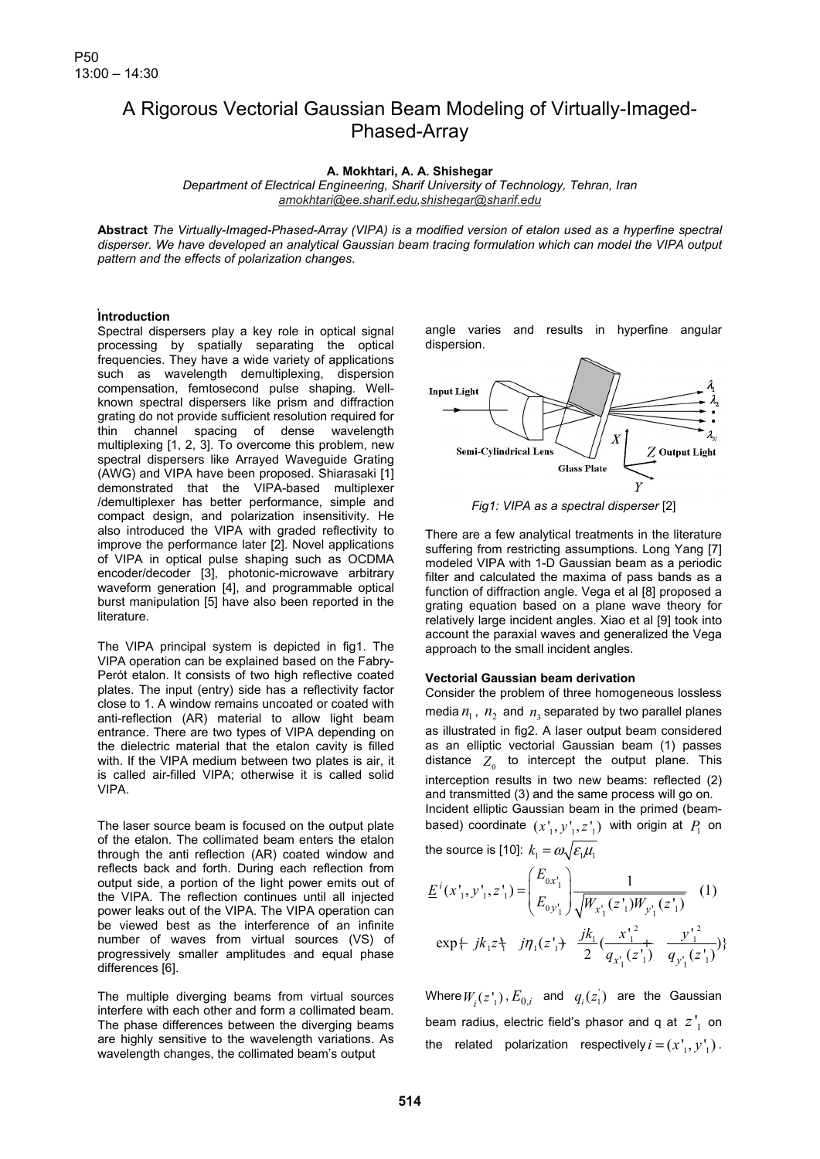# A Rigorous Vectorial Gaussian Beam Modeling of Virtually-Imaged-Phased-Array

### **A. Mokhtari, A. A. Shishegar**

*Department of Electrical Engineering, Sharif University of Technology, Tehran, Iran amokhtari@ee.sharif.edu,shishegar@sharif.edu*

**Abstract** *The Virtually-Imaged-Phased-Array (VIPA) is a modified version of etalon used as a hyperfine spectral disperser. We have developed an analytical Gaussian beam tracing formulation which can model the VIPA output pattern and the effects of polarization changes*.

## **Introduction**

Spectral dispersers play a key role in optical signal processing by spatially separating the optical frequencies. They have a wide variety of applications such as wavelength demultiplexing, dispersion compensation, femtosecond pulse shaping. Wellknown spectral dispersers like prism and diffraction grating do not provide sufficient resolution required for thin channel spacing of dense wavelength multiplexing [1, 2, 3]. To overcome this problem, new spectral dispersers like Arrayed Waveguide Grating (AWG) and VIPA have been proposed. Shiarasaki [1] demonstrated that the VIPA-based multiplexer /demultiplexer has better performance, simple and compact design, and polarization insensitivity. He also introduced the VIPA with graded reflectivity to improve the performance later [2]. Novel applications of VIPA in optical pulse shaping such as OCDMA encoder/decoder [3], photonic-microwave arbitrary waveform generation [4], and programmable optical burst manipulation [5] have also been reported in the literature.

The VIPA principal system is depicted in fig1. The VIPA operation can be explained based on the Fabry-Perót etalon. It consists of two high reflective coated plates. The input (entry) side has a reflectivity factor close to 1. A window remains uncoated or coated with anti-reflection (AR) material to allow light beam entrance. There are two types of VIPA depending on the dielectric material that the etalon cavity is filled with. If the VIPA medium between two plates is air, it is called air-filled VIPA; otherwise it is called solid VIPA.

The laser source beam is focused on the output plate of the etalon. The collimated beam enters the etalon through the anti reflection (AR) coated window and reflects back and forth. During each reflection from output side, a portion of the light power emits out of the VIPA. The reflection continues until all injected power leaks out of the VIPA. The VIPA operation can be viewed best as the interference of an infinite number of waves from virtual sources (VS) of progressively smaller amplitudes and equal phase differences [6].

The multiple diverging beams from virtual sources interfere with each other and form a collimated beam. The phase differences between the diverging beams are highly sensitive to the wavelength variations. As wavelength changes, the collimated beam's output

angle varies and results in hyperfine angular dispersion.



*Fig1: VIPA as a spectral disperser* [2]

There are a few analytical treatments in the literature suffering from restricting assumptions. Long Yang [7] modeled VIPA with 1-D Gaussian beam as a periodic filter and calculated the maxima of pass bands as a function of diffraction angle. Vega et al [8] proposed a grating equation based on a plane wave theory for relatively large incident angles. Xiao et al [9] took into account the paraxial waves and generalized the Vega approach to the small incident angles.

#### **Vectorial Gaussian beam derivation**

Consider the problem of three homogeneous lossless media  $n_1$ ,  $n_2$  and  $n_3$  separated by two parallel planes as illustrated in fig2. A laser output beam considered as an elliptic vectorial Gaussian beam (1) passes distance  $Z_0$  to intercept the output plane. This interception results in two new beams: reflected (2) and transmitted (3) and the same process will go on. Incident elliptic Gaussian beam in the primed (beambased) coordinate  $(x', y', z')$  with origin at  $P_1$  on the source is [10]:  $k_1 = \omega \sqrt{\varepsilon_1 \mu_1}$ 

$$
\underline{E}^{i}(x_{1}^{i}, y_{1}^{i}, z_{1}^{i}) = \begin{pmatrix} E_{0x_{1}^{i}} \\ E_{0y_{1}^{i}} \end{pmatrix} \frac{1}{\sqrt{W_{x_{1}^{i}}(z_{1}^{i})W_{y_{1}^{i}}(z_{1}^{i})}} \quad (1)
$$
\n
$$
\exp\{-jk_{1}z_{1}^{i} \quad j\eta_{1}(z_{1}^{i}) + \frac{jk_{1}}{2}(\frac{x_{1}^{i^{2}}}{q_{x_{1}^{i}}(z_{1}^{i})} + \frac{y_{1}^{i^{2}}}{q_{y_{1}^{i}}(z_{1}^{i})})\}
$$

Where  $W_i(z_1^*)$ ,  $E_{0,i}$  and  $q_i(z_1^*)$  are the Gaussian beam radius, electric field's phasor and q at  $z'$  on the related polarization respectively  $i = (x'_1, y'_1)$ .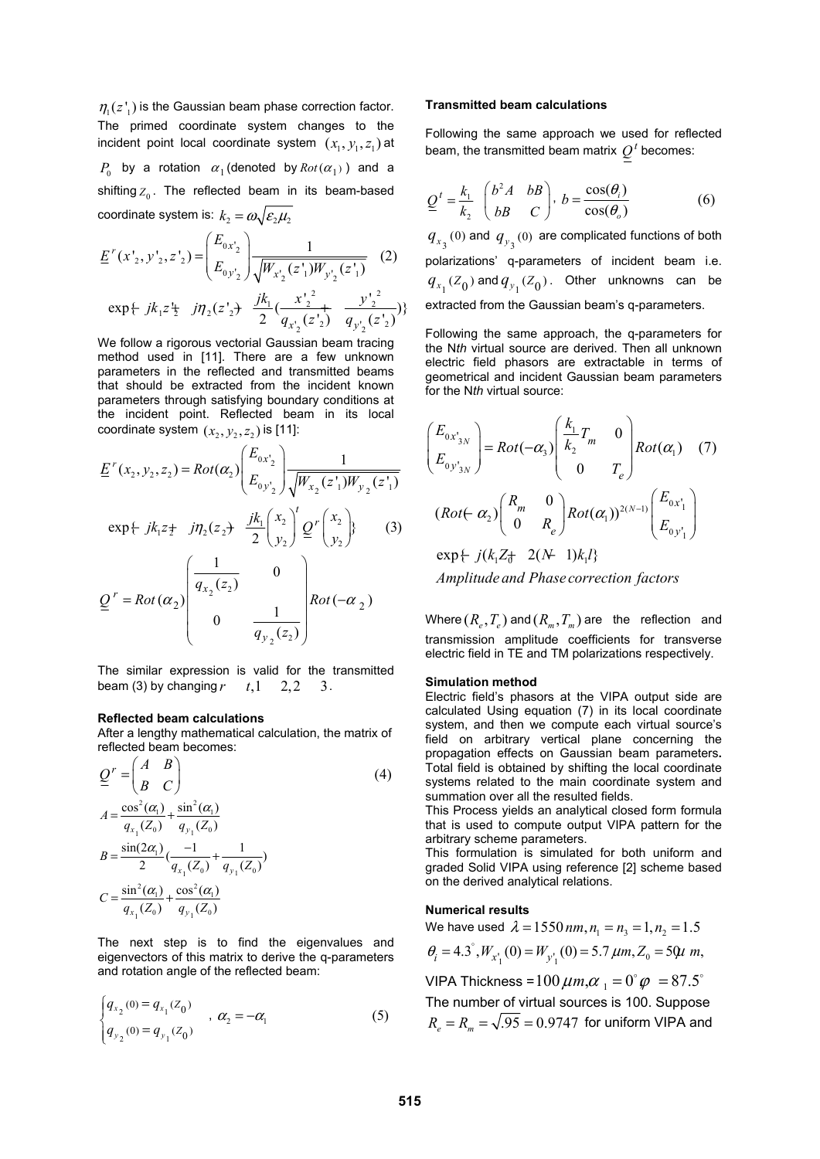$\eta_1(z_1)$  is the Gaussian beam phase correction factor. The primed coordinate system changes to the incident point local coordinate system  $(x_1, y_1, z_1)$  at *P*<sub>0</sub> by a rotation  $\alpha_1$  (denoted by  $Rot(\alpha_1)$ ) and a shifting  $Z_0$ . The reflected beam in its beam-based coordinate system is:  $k_2 = \omega \sqrt{\varepsilon_2 \mu_2}$ 

$$
\underline{E}^{r}(x'_{2}, y'_{2}, z'_{2}) = \begin{pmatrix} E_{0x'_{2}} \\ E_{0y'_{2}} \end{pmatrix} \frac{1}{\sqrt{W_{x'_{2}}(z'_{1})W_{y'_{2}}(z'_{1})}} \quad (2)
$$
  
exp{+ jk\_{1}z'\_{2} jjn\_{2}(z'\_{2}) + \frac{jk\_{1}}{2}(\frac{x'\_{2}^{2}}{q\_{x'\_{2}}(z'\_{2})} + \frac{y'\_{2}^{2}}{q\_{y'\_{2}}(z'\_{2})})}

We follow a rigorous vectorial Gaussian beam tracing method used in [11]. There are a few unknown parameters in the reflected and transmitted beams that should be extracted from the incident known parameters through satisfying boundary conditions at the incident point. Reflected beam in its local coordinate system  $(x_2, y_2, z_2)$  is [11]:

$$
\underline{E}^{r}(x_{2}, y_{2}, z_{2}) = Rot(\alpha_{2}) \begin{pmatrix} E_{0x_{2}} \\ E_{0y_{2}} \end{pmatrix} \frac{1}{\sqrt{W_{x_{2}}(z_{1})W_{y_{2}}(z_{1})}}
$$
  
\n
$$
exp\{-jk_{1}z_{2} \mid j\eta_{2}(z_{2}) \frac{jk_{1}}{2}\begin{pmatrix} x_{2} \\ y_{2} \end{pmatrix} \underline{Q}^{r} \begin{pmatrix} x_{2} \\ y_{2} \end{pmatrix} \} (3)
$$
  
\n
$$
\underline{Q}^{r} = Rot(\alpha_{2}) \begin{pmatrix} \frac{1}{q_{x_{2}}(z_{2})} & 0 \\ 0 & \frac{1}{\sqrt{q_{x_{2}}(z_{2})}} \end{pmatrix} Rot(-\alpha_{2})
$$

The similar expression is valid for the transmitted beam (3) by changing  $r$   $t, 1$  2, 2 3.

 $q_{y_2}(z_2)$ 

 $2^{(2)}$ 

#### **Reflected beam calculations**

After a lengthy mathematical calculation, the matrix of reflected beam becomes:

$$
Q' = \begin{pmatrix} A & B \\ B & C \end{pmatrix}
$$
  
\n
$$
A = \frac{\cos^2(\alpha_1)}{q_{x_1}(Z_0)} + \frac{\sin^2(\alpha_1)}{q_{y_1}(Z_0)}
$$
  
\n
$$
B = \frac{\sin(2\alpha_1)}{2} \left(\frac{-1}{q_{x_1}(Z_0)} + \frac{1}{q_{y_1}(Z_0)}\right)
$$
  
\n
$$
C = \frac{\sin^2(\alpha_1)}{q_{x_1}(Z_0)} + \frac{\cos^2(\alpha_1)}{q_{y_1}(Z_0)}
$$
 (4)

The next step is to find the eigenvalues and eigenvectors of this matrix to derive the q-parameters and rotation angle of the reflected beam:

$$
\begin{cases} q_{x_2}(0) = q_{x_1}(Z_0) \\ q_{y_2}(0) = q_{y_1}(Z_0) \end{cases}, \alpha_2 = -\alpha_1
$$
 (5)

#### **Transmitted beam calculations**

Following the same approach we used for reflected beam, the transmitted beam matrix  $Q<sup>t</sup>$  becomes:

$$
\underline{Q}^t = \frac{k_1}{k_2} \begin{pmatrix} b^2 A & bB \\ bB & C \end{pmatrix}, \ b = \frac{\cos(\theta_i)}{\cos(\theta_o)}
$$
(6)

 $q_{x_3}(0)$  and  $q_{y_3}(0)$  are complicated functions of both polarizations' q-parameters of incident beam i.e.  $q_{x_1}(Z_0)$  and  $q_{y_1}(Z_0)$ . Other unknowns can be extracted from the Gaussian beam's q-parameters.

Following the same approach, the q-parameters for the N*th* virtual source are derived. Then all unknown electric field phasors are extractable in terms of geometrical and incident Gaussian beam parameters for the N*th* virtual source:

$$
\begin{pmatrix}\nE_{0x_{3N}} \\
E_{0y_{3N}}\n\end{pmatrix} = Rot(-\alpha_3) \begin{pmatrix}\n\frac{k_1}{k_2}T_m & 0 \\
0 & T_e\n\end{pmatrix} Rot(\alpha_1) \quad (7)
$$
\n
$$
(Rot(-\alpha_2) \begin{pmatrix}\nR_m & 0 \\
0 & R_e\n\end{pmatrix} Rot(\alpha_1))^{2(N-1)} \begin{pmatrix}\nE_{0x_1'} \\
E_{0y_1'}\n\end{pmatrix}
$$
\n
$$
\exp \{ j(k_1 Z_0 + 2(N-1)k_1 l_3\}
$$
\n
$$
Amplitude and Phase correction factors
$$

Where  $(R_{\rho}, T_{\rho})$  and  $(R_{m}, T_{m})$  are the reflection and transmission amplitude coefficients for transverse electric field in TE and TM polarizations respectively.

#### **Simulation method**

Electric field's phasors at the VIPA output side are calculated Using equation (7) in its local coordinate system, and then we compute each virtual source's field on arbitrary vertical plane concerning the propagation effects on Gaussian beam parameters**.**  Total field is obtained by shifting the local coordinate systems related to the main coordinate system and summation over all the resulted fields.

This Process yields an analytical closed form formula that is used to compute output VIPA pattern for the arbitrary scheme parameters.

This formulation is simulated for both uniform and graded Solid VIPA using reference [2] scheme based on the derived analytical relations.

#### **Numerical results**

We have used  $\lambda = 1550$  nm,  $n_1 = n_2 = 1, n_2 = 1.5$  $\theta_i = 4.3^\circ$ ,  $W_{x_1'}(0) = W_{y_1'}(0) = 5.7 \ \mu m, Z_0 = 50 \mu m$ , VIPA Thickness =  $100 \mu m, \alpha_{1} = 0^{\circ} \varphi = 87.5^{\circ}$ 

The number of virtual sources is 100. Suppose  $R_{\text{e}} = R_{\text{m}} = \sqrt{.95} = 0.9747$  for uniform VIPA and